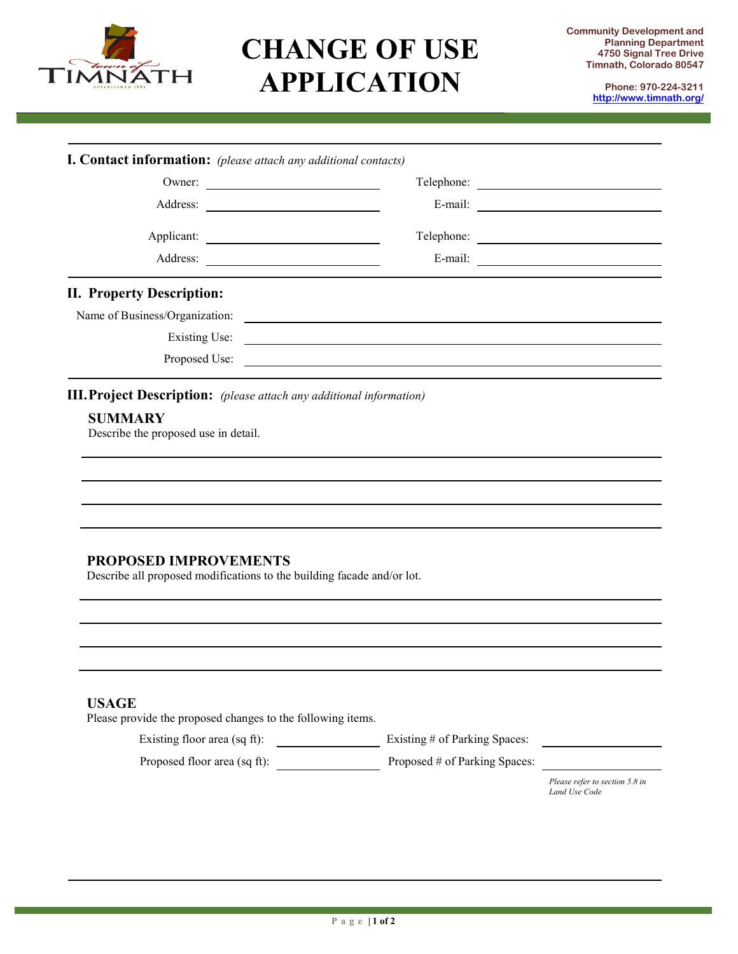

## **CHANGE OF USE APPLICATION**

**Phone: 970-224-3211 <http://www.timnath.org/>**

|                                                                                                        | I. Contact information: (please attach any additional contacts) |  |
|--------------------------------------------------------------------------------------------------------|-----------------------------------------------------------------|--|
| Owner:                                                                                                 |                                                                 |  |
| Applicant:                                                                                             |                                                                 |  |
|                                                                                                        | Telephone:                                                      |  |
|                                                                                                        |                                                                 |  |
| <b>II. Property Description:</b>                                                                       |                                                                 |  |
| Name of Business/Organization:                                                                         | <u> 1980 - Andrea Andrew Maria (h. 1980).</u>                   |  |
|                                                                                                        | Existing Use:                                                   |  |
| Proposed Use:                                                                                          |                                                                 |  |
| <b>III. Project Description:</b> (please attach any additional information)                            |                                                                 |  |
| <b>SUMMARY</b><br>Describe the proposed use in detail.                                                 |                                                                 |  |
|                                                                                                        |                                                                 |  |
|                                                                                                        |                                                                 |  |
|                                                                                                        |                                                                 |  |
|                                                                                                        |                                                                 |  |
| <b>PROPOSED IMPROVEMENTS</b><br>Describe all proposed modifications to the building facade and/or lot. |                                                                 |  |
|                                                                                                        |                                                                 |  |
|                                                                                                        |                                                                 |  |
|                                                                                                        |                                                                 |  |
|                                                                                                        |                                                                 |  |
| <b>USAGE</b><br>Please provide the proposed changes to the following items.                            |                                                                 |  |
| Existing floor area (sq ft):                                                                           | Existing # of Parking Spaces:                                   |  |
| Proposed floor area (sq ft):                                                                           | Proposed # of Parking Spaces:                                   |  |